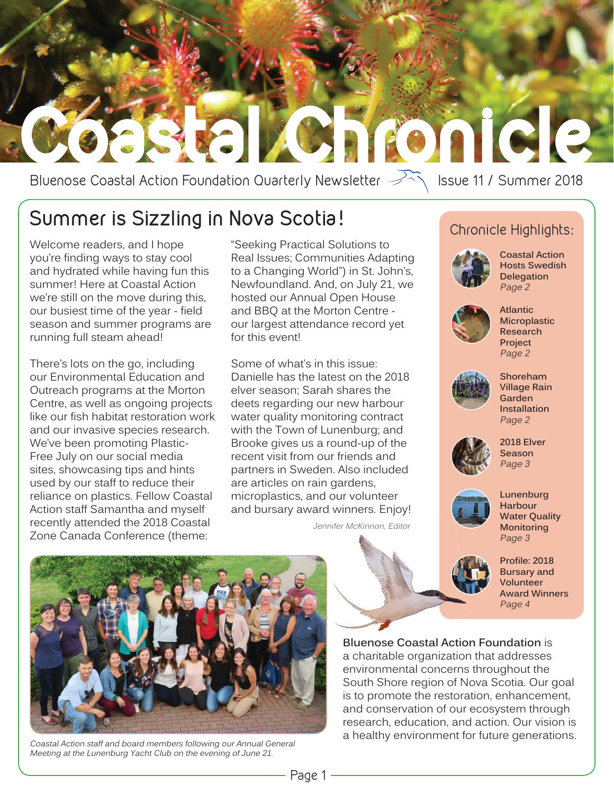

# Bluenose Coastal Action Foundation Quarterly Newsletter  $\widehat{\longrightarrow}$  Issue 11 / Summer 2018

# **Summer is Sizzling in Nova Scotia!**

Welcome readers, and I hope you're finding ways to stay cool and hydrated while having fun this summer! Here at Coastal Action we're still on the move during this, our busiest time of the year - field season and summer programs are running full steam ahead!

There's lots on the go, including our Environmental Education and Outreach programs at the Morton Centre, as well as ongoing projects like our fish habitat restoration work and our invasive species research. We've been promoting Plastic-Free July on our social media sites, showcasing tips and hints used by our staff to reduce their reliance on plastics. Fellow Coastal Action staff Samantha and myself recently attended the 2018 Coastal Zone Canada Conference (theme:

"Seeking Practical Solutions to Real Issues; Communities Adapting to a Changing World") in St. John's, Newfoundland. And, on July 21, we hosted our Annual Open House and BBQ at the Morton Centre our largest attendance record yet for this event!

Some of what's in this issue: Danielle has the latest on the 2018 elver season; Sarah shares the deets regarding our new harbour water quality monitoring contract with the Town of Lunenburg; and Brooke gives us a round-up of the recent visit from our friends and partners in Sweden. Also included are articles on rain gardens, microplastics, and our volunteer and bursary award winners. Enjoy!

Jennifer McKinnon, Editor

#### Chronicle Highlights:



**Coastal Action Hosts Swedish Delegation** Page 2



**Atlantic Microplastic Research Project** Page 2



**Shoreham Village Rain Garden Installation** Page 2



**2018 Elver Season** Page 3



**Lunenburg Harbour Water Quality Monitoring** Page 3



**Profile: 2018 Bursary and Volunteer Award Winners** Page 4



Coastal Action staff and board members following our Annual General Meeting at the Lunenburg Yacht Club on the evening of June 21.

**Bluenose Coastal Action Foundation** is **B** a charitable organization that addresses environmental concerns throughout the South Shore region of Nova Scotia. Our goal is to promote the restoration, enhancement, and conservation of our ecosystem through research, education, and action. Our vision is a healthy environment for future generations.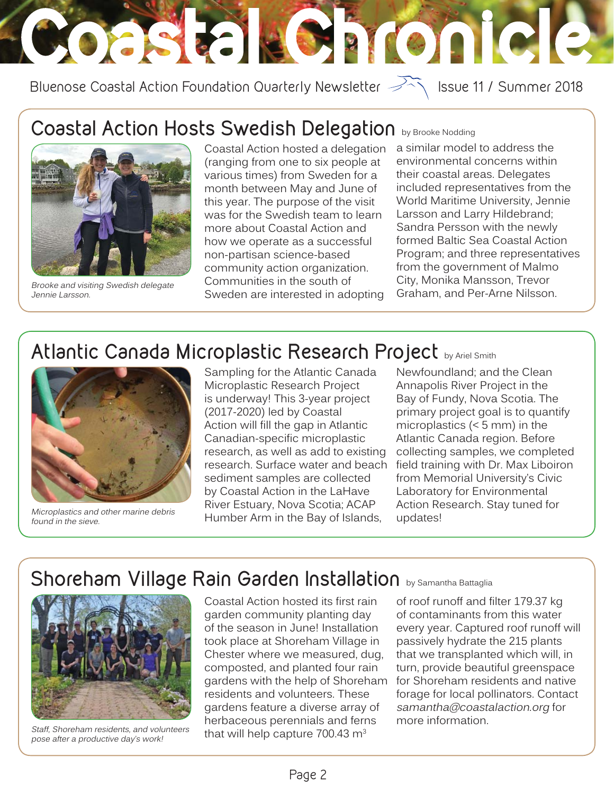# Coastal Chronicle

Bluenose Coastal Action Foundation Quarterly Newsletter  $\overrightarrow{P}$  Issue 11 / Summer 2018

# **Coastal Action Hosts Swedish Delegation** by Brooke Nodding



Brooke and visiting Swedish delegate Jennie Larsson.

Coastal Action hosted a delegation (ranging from one to six people at various times) from Sweden for a month between May and June of this year. The purpose of the visit was for the Swedish team to learn more about Coastal Action and how we operate as a successful non-partisan science-based community action organization. Communities in the south of Sweden are interested in adopting

a similar model to address the environmental concerns within their coastal areas. Delegates included representatives from the World Maritime University, Jennie Larsson and Larry Hildebrand; Sandra Persson with the newly formed Baltic Sea Coastal Action Program; and three representatives from the government of Malmo City, Monika Mansson, Trevor Graham, and Per-Arne Nilsson.

# **Atlantic Canada Microplastic Research Project** by Ariel Smith



Microplastics and other marine debris found in the sieve.

Sampling for the Atlantic Canada Microplastic Research Project is underway! This 3-year project (2017-2020) led by Coastal Action will fill the gap in Atlantic Canadian-specific microplastic research, as well as add to existing research. Surface water and beach sediment samples are collected by Coastal Action in the LaHave River Estuary, Nova Scotia; ACAP Humber Arm in the Bay of Islands,

Newfoundland; and the Clean Annapolis River Project in the Bay of Fundy, Nova Scotia. The primary project goal is to quantify microplastics (< 5 mm) in the Atlantic Canada region. Before collecting samples, we completed field training with Dr. Max Liboiron from Memorial University's Civic Laboratory for Environmental Action Research. Stay tuned for updates!

# Shoreham Village Rain Garden Installation **by Samantha Battaglia**



Staff, Shoreham residents, and volunteers pose after a productive day's work!

Coastal Action hosted its first rain garden community planting day of the season in June! Installation took place at Shoreham Village in Chester where we measured, dug, composted, and planted four rain gardens with the help of Shoreham residents and volunteers. These gardens feature a diverse array of herbaceous perennials and ferns that will help capture  $700.43 \text{ m}^3$ 

of roof runoff and filter 179.37 kg of contaminants from this water every year. Captured roof runoff will passively hydrate the 215 plants that we transplanted which will, in turn, provide beautiful greenspace for Shoreham residents and native forage for local pollinators. Contact samantha@coastalaction.org for more information.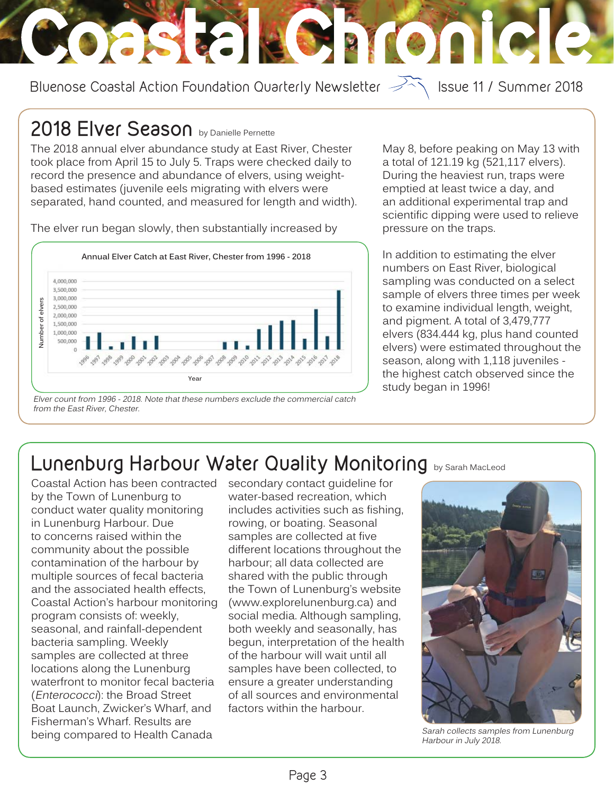Bluenose Coastal Action Foundation Quarterly Newsletter  $\overrightarrow{P}$  Issue 11 / Summer 2018

Coastal Loinicle

### **2018 Elver Season** by Danielle Pernette

The 2018 annual elver abundance study at East River, Chester took place from April 15 to July 5. Traps were checked daily to record the presence and abundance of elvers, using weightbased estimates (juvenile eels migrating with elvers were separated, hand counted, and measured for length and width).

The elver run began slowly, then substantially increased by



Elver count from 1996 - 2018. Note that these numbers exclude the commercial catch from the East River, Chester.

May 8, before peaking on May 13 with a total of 121.19 kg (521,117 elvers). During the heaviest run, traps were emptied at least twice a day, and an additional experimental trap and scientific dipping were used to relieve pressure on the traps.

In addition to estimating the elver numbers on East River, biological sampling was conducted on a select sample of elvers three times per week to examine individual length, weight, and pigment. A total of 3,479,777 elvers (834.444 kg, plus hand counted elvers) were estimated throughout the season, along with 1,118 juveniles the highest catch observed since the study began in 1996!

# **Lunenburg Harbour Water Quality Monitoring** by Sarah MacLeod

Coastal Action has been contracted by the Town of Lunenburg to conduct water quality monitoring in Lunenburg Harbour. Due to concerns raised within the community about the possible contamination of the harbour by multiple sources of fecal bacteria and the associated health effects, Coastal Action's harbour monitoring program consists of: weekly, seasonal, and rainfall-dependent bacteria sampling. Weekly samples are collected at three locations along the Lunenburg waterfront to monitor fecal bacteria (Enterococci): the Broad Street Boat Launch, Zwicker's Wharf, and Fisherman's Wharf. Results are being compared to Health Canada

secondary contact guideline for water-based recreation, which includes activities such as fishing, rowing, or boating. Seasonal samples are collected at five different locations throughout the harbour; all data collected are shared with the public through the Town of Lunenburg's website (www.explorelunenburg.ca) and social media. Although sampling, both weekly and seasonally, has begun, interpretation of the health of the harbour will wait until all samples have been collected, to ensure a greater understanding of all sources and environmental factors within the harbour.



Sarah collects samples from Lunenburg Harbour in July 2018.